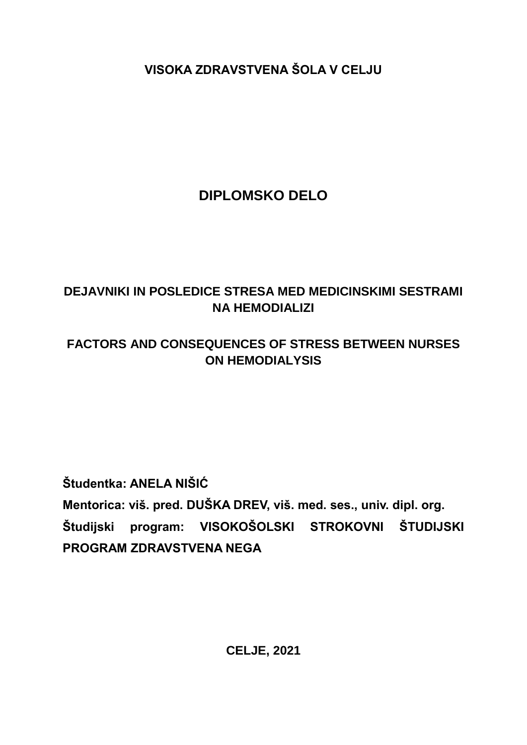**VISOKA ZDRAVSTVENA ŠOLA V CELJU**

# **DIPLOMSKO DELO**

## **DEJAVNIKI IN POSLEDICE STRESA MED MEDICINSKIMI SESTRAMI NA HEMODIALIZI**

## **FACTORS AND CONSEQUENCES OF STRESS BETWEEN NURSES ON HEMODIALYSIS**

**Študentka: ANELA NIŠIĆ**

**Mentorica: viš. pred. DUŠKA DREV, viš. med. ses., univ. dipl. org. Študijski program: VISOKOŠOLSKI STROKOVNI ŠTUDIJSKI PROGRAM ZDRAVSTVENA NEGA**

**CELJE, 2021**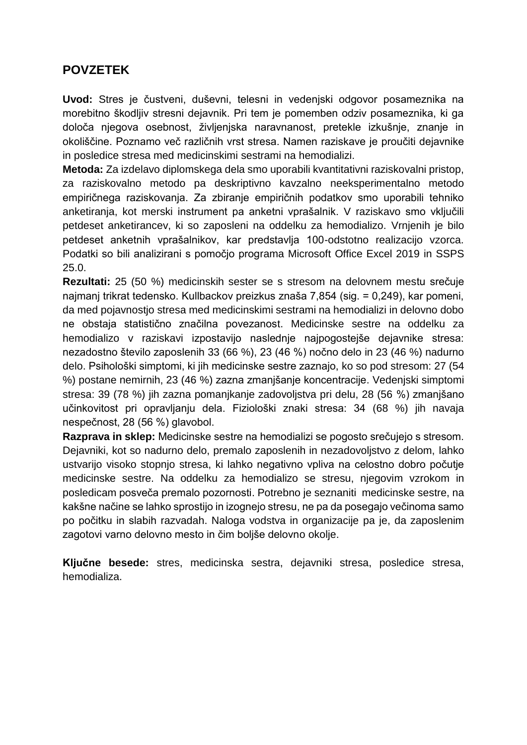#### **POVZETEK**

**Uvod:** Stres je čustveni, duševni, telesni in vedenjski odgovor posameznika na morebitno škodljiv stresni dejavnik. Pri tem je pomemben odziv posameznika, ki ga določa njegova osebnost, življenjska naravnanost, pretekle izkušnje, znanje in okoliščine. Poznamo več različnih vrst stresa. Namen raziskave je proučiti dejavnike in posledice stresa med medicinskimi sestrami na hemodializi.

**Metoda:** Za izdelavo diplomskega dela smo uporabili kvantitativni raziskovalni pristop, za raziskovalno metodo pa deskriptivno kavzalno neeksperimentalno metodo empiričnega raziskovanja. Za zbiranje empiričnih podatkov smo uporabili tehniko anketiranja, kot merski instrument pa anketni vprašalnik. V raziskavo smo vključili petdeset anketirancev, ki so zaposleni na oddelku za hemodializo. Vrnjenih je bilo petdeset anketnih vprašalnikov, kar predstavlja 100-odstotno realizacijo vzorca. Podatki so bili analizirani s pomočjo programa Microsoft Office Excel 2019 in SSPS 25.0.

**Rezultati:** 25 (50 %) medicinskih sester se s stresom na delovnem mestu srečuje najmanj trikrat tedensko. Kullbackov preizkus znaša 7,854 (sig. = 0,249), kar pomeni, da med pojavnostjo stresa med medicinskimi sestrami na hemodializi in delovno dobo ne obstaja statistično značilna povezanost. Medicinske sestre na oddelku za hemodializo v raziskavi izpostavijo naslednje najpogostejše dejavnike stresa: nezadostno število zaposlenih 33 (66 %), 23 (46 %) nočno delo in 23 (46 %) nadurno delo. Psihološki simptomi, ki jih medicinske sestre zaznajo, ko so pod stresom: 27 (54 %) postane nemirnih, 23 (46 %) zazna zmanjšanje koncentracije. Vedenjski simptomi stresa: 39 (78 %) jih zazna pomanjkanje zadovoljstva pri delu, 28 (56 %) zmanjšano učinkovitost pri opravljanju dela. Fiziološki znaki stresa: 34 (68 %) jih navaja nespečnost, 28 (56 %) glavobol.

**Razprava in sklep:** Medicinske sestre na hemodializi se pogosto srečujejo s stresom. Dejavniki, kot so nadurno delo, premalo zaposlenih in nezadovoljstvo z delom, lahko ustvarijo visoko stopnjo stresa, ki lahko negativno vpliva na celostno dobro počutje medicinske sestre. Na oddelku za hemodializo se stresu, njegovim vzrokom in posledicam posveča premalo pozornosti. Potrebno je seznaniti medicinske sestre, na kakšne načine se lahko sprostijo in izognejo stresu, ne pa da posegajo večinoma samo po počitku in slabih razvadah. Naloga vodstva in organizacije pa je, da zaposlenim zagotovi varno delovno mesto in čim boljše delovno okolje.

**Ključne besede:** stres, medicinska sestra, dejavniki stresa, posledice stresa, hemodializa.